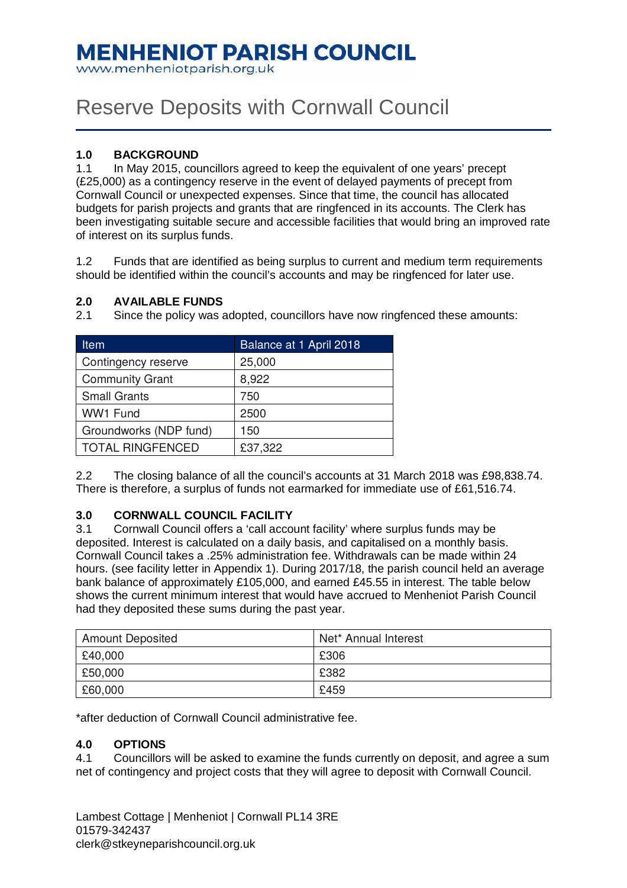## **MENHENIOT PARISH COUNCIL**

www.menheniotparish.org.uk

# Reserve Deposits with Cornwall Council

#### **1.0 BACKGROUND**

1.1 In May 2015, councillors agreed to keep the equivalent of one years' precept (£25,000) as a contingency reserve in the event of delayed payments of precept from Cornwall Council or unexpected expenses. Since that time, the council has allocated budgets for parish projects and grants that are ringfenced in its accounts. The Clerk has been investigating suitable secure and accessible facilities that would bring an improved rate of interest on its surplus funds.

1.2 Funds that are identified as being surplus to current and medium term requirements should be identified within the council's accounts and may be ringfenced for later use.

#### **2.0 AVAILABLE FUNDS**

| Item                    | Balance at 1 April 2018 |
|-------------------------|-------------------------|
| Contingency reserve     | 25,000                  |
| <b>Community Grant</b>  | 8,922                   |
| <b>Small Grants</b>     | 750                     |
| WW1 Fund                | 2500                    |
| Groundworks (NDP fund)  | 150                     |
| <b>TOTAL RINGFENCED</b> | £37,322                 |

2.1 Since the policy was adopted, councillors have now ringfenced these amounts:

2.2 The closing balance of all the council's accounts at 31 March 2018 was £98,838.74. There is therefore, a surplus of funds not earmarked for immediate use of £61,516.74.

#### **3.0 CORNWALL COUNCIL FACILITY**

3.1 Cornwall Council offers a 'call account facility' where surplus funds may be deposited. Interest is calculated on a daily basis, and capitalised on a monthly basis. Cornwall Council takes a .25% administration fee. Withdrawals can be made within 24 hours. (see facility letter in Appendix 1). During 2017/18, the parish council held an average bank balance of approximately £105,000, and earned £45.55 in interest. The table below shows the current minimum interest that would have accrued to Menheniot Parish Council had they deposited these sums during the past year.

| <b>Amount Deposited</b> | Net* Annual Interest |
|-------------------------|----------------------|
| £40,000                 | £306                 |
| £50,000                 | £382                 |
| £60,000                 | £459                 |

\*after deduction of Cornwall Council administrative fee.

#### **4.0 OPTIONS**

4.1 Councillors will be asked to examine the funds currently on deposit, and agree a sum net of contingency and project costs that they will agree to deposit with Cornwall Council.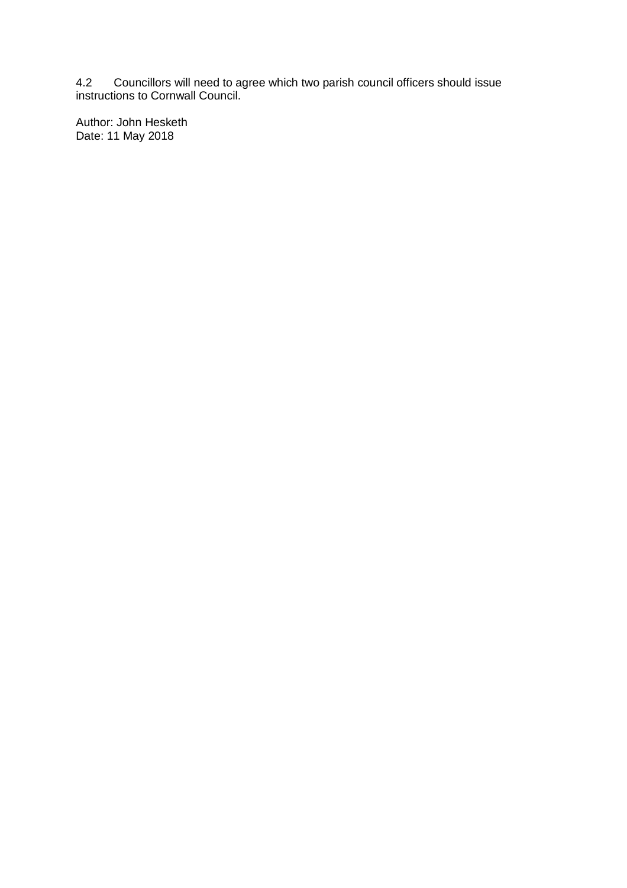4.2 Councillors will need to agree which two parish council officers should issue instructions to Cornwall Council.

Author: John Hesketh Date: 11 May 2018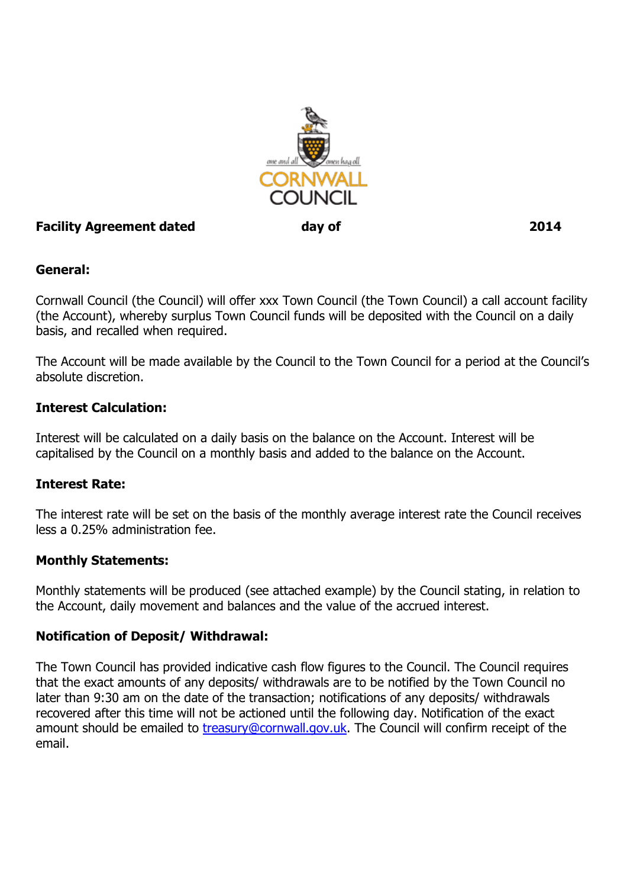

## Facility Agreement dated day of 2014

#### General:

Cornwall Council (the Council) will offer xxx Town Council (the Town Council) a call account facility (the Account), whereby surplus Town Council funds will be deposited with the Council on a daily basis, and recalled when required.

The Account will be made available by the Council to the Town Council for a period at the Council's absolute discretion.

#### Interest Calculation:

Interest will be calculated on a daily basis on the balance on the Account. Interest will be capitalised by the Council on a monthly basis and added to the balance on the Account.

#### Interest Rate:

The interest rate will be set on the basis of the monthly average interest rate the Council receives less a 0.25% administration fee.

#### Monthly Statements:

Monthly statements will be produced (see attached example) by the Council stating, in relation to the Account, daily movement and balances and the value of the accrued interest.

#### Notification of Deposit/ Withdrawal:

The Town Council has provided indicative cash flow figures to the Council. The Council requires that the exact amounts of any deposits/ withdrawals are to be notified by the Town Council no later than 9:30 am on the date of the transaction; notifications of any deposits/ withdrawals recovered after this time will not be actioned until the following day. Notification of the exact amount should be emailed to *treasury@cornwall.gov.uk*. The Council will confirm receipt of the email.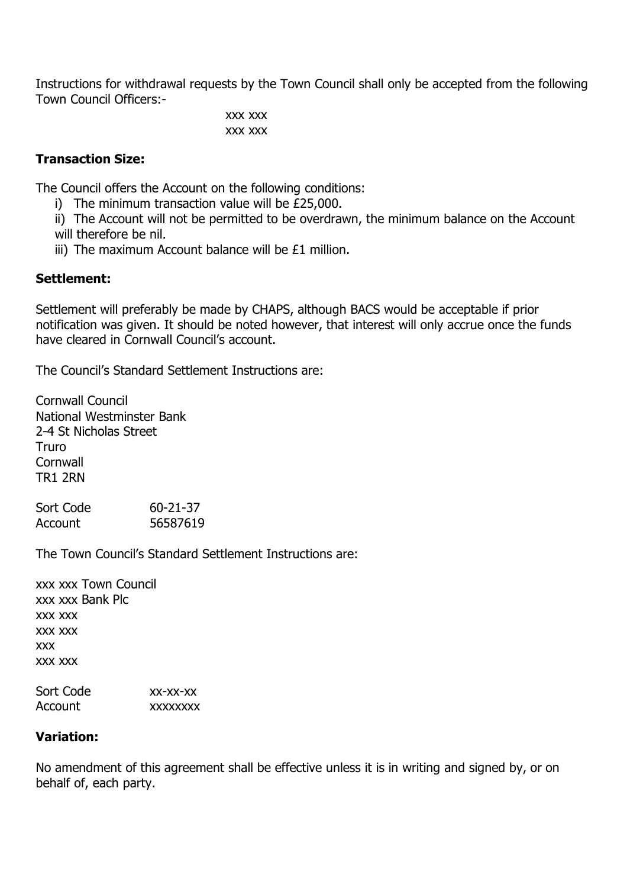Instructions for withdrawal requests by the Town Council shall only be accepted from the following Town Council Officers:-

> xxx xxx xxx xxx

## Transaction Size:

The Council offers the Account on the following conditions:

i) The minimum transaction value will be £25,000.

ii) The Account will not be permitted to be overdrawn, the minimum balance on the Account will therefore be nil.

iii) The maximum Account balance will be £1 million.

## Settlement:

Settlement will preferably be made by CHAPS, although BACS would be acceptable if prior notification was given. It should be noted however, that interest will only accrue once the funds have cleared in Cornwall Council's account.

The Council's Standard Settlement Instructions are:

Cornwall Council National Westminster Bank 2-4 St Nicholas Street Truro **Cornwall** TR1 2RN

| Sort Code | $60 - 21 - 37$ |
|-----------|----------------|
| Account   | 56587619       |

The Town Council's Standard Settlement Instructions are:

xxx xxx Town Council xxx xxx Bank Plc xxx xxx xxx xxx xxx xxx xxx

| Sort Code | $XX-XX-XX$      |
|-----------|-----------------|
| Account   | <b>XXXXXXXX</b> |

#### Variation:

No amendment of this agreement shall be effective unless it is in writing and signed by, or on behalf of, each party.